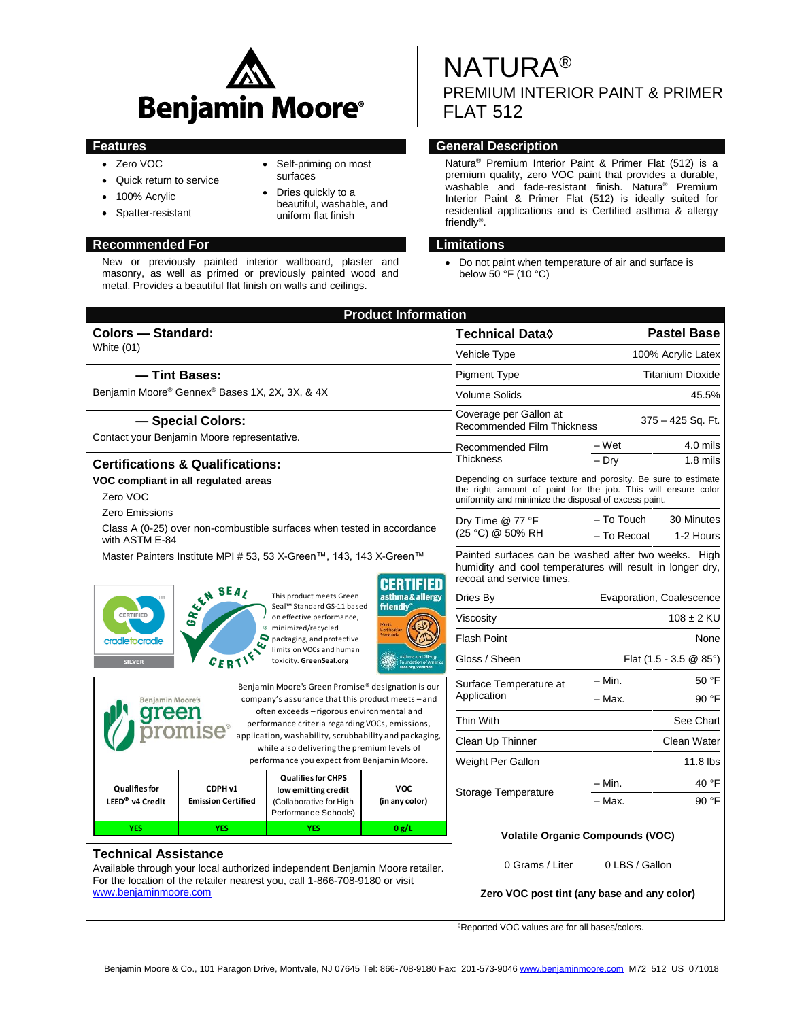

 Self-priming on most surfaces • Dries quickly to a beautiful, washable, and uniform flat finish

- Zero VOC
- Quick return to service
- 100% Acrylic
- Spatter-resistant

## **Recommended For Limitations**

New or previously painted interior wallboard, plaster and masonry, as well as primed or previously painted wood and metal. Provides a beautiful flat finish on walls and ceilings.

NATURA® PREMIUM INTERIOR PAINT & PRIMER FLAT 512

# **Features General Description**

Natura® Premium Interior Paint & Primer Flat (512) is a premium quality, zero VOC paint that provides a durable, washable and fade-resistant finish. Natura® Premium Interior Paint & Primer Flat (512) is ideally suited for residential applications and is Certified asthma & allergy friendly® .

 Do not paint when temperature of air and surface is below 50 °F (10 °C)

| <b>Product Information</b>                                                                                                                                                                                         |                                                    |                                                                                                     |                                                                                                                                                                                          |                                                                                                                                                |                                             |  |  |
|--------------------------------------------------------------------------------------------------------------------------------------------------------------------------------------------------------------------|----------------------------------------------------|-----------------------------------------------------------------------------------------------------|------------------------------------------------------------------------------------------------------------------------------------------------------------------------------------------|------------------------------------------------------------------------------------------------------------------------------------------------|---------------------------------------------|--|--|
| <b>Colors - Standard:</b>                                                                                                                                                                                          |                                                    |                                                                                                     |                                                                                                                                                                                          | Technical Data <sup>0</sup>                                                                                                                    | <b>Pastel Base</b>                          |  |  |
| <b>White (01)</b>                                                                                                                                                                                                  |                                                    |                                                                                                     |                                                                                                                                                                                          | Vehicle Type                                                                                                                                   | 100% Acrylic Latex                          |  |  |
| - Tint Bases:                                                                                                                                                                                                      |                                                    |                                                                                                     |                                                                                                                                                                                          | <b>Pigment Type</b>                                                                                                                            | <b>Titanium Dioxide</b>                     |  |  |
| Benjamin Moore® Gennex® Bases 1X, 2X, 3X, & 4X                                                                                                                                                                     |                                                    |                                                                                                     |                                                                                                                                                                                          | <b>Volume Solids</b>                                                                                                                           | 45.5%                                       |  |  |
| - Special Colors:                                                                                                                                                                                                  |                                                    |                                                                                                     |                                                                                                                                                                                          | Coverage per Gallon at<br><b>Recommended Film Thickness</b>                                                                                    | 375 - 425 Sq. Ft.                           |  |  |
|                                                                                                                                                                                                                    | Contact your Benjamin Moore representative.        |                                                                                                     | Recommended Film<br><b>Thickness</b>                                                                                                                                                     | – Wet<br>4.0 mils                                                                                                                              |                                             |  |  |
|                                                                                                                                                                                                                    | <b>Certifications &amp; Qualifications:</b>        |                                                                                                     |                                                                                                                                                                                          | $-$ Dry<br>$1.8$ mils                                                                                                                          |                                             |  |  |
| Zero VOC                                                                                                                                                                                                           | VOC compliant in all regulated areas               |                                                                                                     | Depending on surface texture and porosity. Be sure to estimate<br>the right amount of paint for the job. This will ensure color<br>uniformity and minimize the disposal of excess paint. |                                                                                                                                                |                                             |  |  |
| Zero Emissions                                                                                                                                                                                                     |                                                    |                                                                                                     | Dry Time @ 77 °F<br>(25 °C) @ 50% RH                                                                                                                                                     | - To Touch<br>30 Minutes                                                                                                                       |                                             |  |  |
| with ASTM E-84                                                                                                                                                                                                     |                                                    | Class A (0-25) over non-combustible surfaces when tested in accordance                              |                                                                                                                                                                                          | - To Recoat<br>1-2 Hours                                                                                                                       |                                             |  |  |
| Master Painters Institute MPI # 53, 53 X-Green™, 143, 143 X-Green™<br>SEA SEAL<br>This product meets Green<br>asthma & allergy                                                                                     |                                                    |                                                                                                     |                                                                                                                                                                                          | Painted surfaces can be washed after two weeks. High<br>humidity and cool temperatures will result in longer dry,<br>recoat and service times. |                                             |  |  |
|                                                                                                                                                                                                                    |                                                    |                                                                                                     |                                                                                                                                                                                          | Dries By                                                                                                                                       | Evaporation, Coalescence                    |  |  |
| friendly*<br>Seal™ Standard GS-11 based<br>CERTIFIED<br>on effective performance,                                                                                                                                  |                                                    |                                                                                                     | Viscosity                                                                                                                                                                                | $108 \pm 2$ KU                                                                                                                                 |                                             |  |  |
| minimized/recycled<br>$\Box$ packaging, and protective<br>cradletocradle<br>limits on VOCs and human<br>$c_{ER}$<br>toxicity. GreenSeal.org<br><b>SILVER</b>                                                       |                                                    |                                                                                                     |                                                                                                                                                                                          | Flash Point                                                                                                                                    | None                                        |  |  |
|                                                                                                                                                                                                                    |                                                    |                                                                                                     |                                                                                                                                                                                          | Gloss / Sheen                                                                                                                                  | Flat $(1.5 - 3.5 \& 85^{\circ})$            |  |  |
|                                                                                                                                                                                                                    | Benjamin Moore's Green Promise® designation is our |                                                                                                     |                                                                                                                                                                                          |                                                                                                                                                | $-$ Min.<br>50 °F                           |  |  |
| <b>Benjamin Moore's</b>                                                                                                                                                                                            |                                                    | company's assurance that this product meets - and                                                   |                                                                                                                                                                                          | Application                                                                                                                                    | - Max.<br>90 °F                             |  |  |
|                                                                                                                                                                                                                    |                                                    | often exceeds - rigorous environmental and<br>performance criteria regarding VOCs, emissions,       | Thin With                                                                                                                                                                                | See Chart                                                                                                                                      |                                             |  |  |
| application, washability, scrubbability and packaging,<br>while also delivering the premium levels of<br>performance you expect from Benjamin Moore.                                                               |                                                    |                                                                                                     |                                                                                                                                                                                          | Clean Up Thinner                                                                                                                               | Clean Water                                 |  |  |
|                                                                                                                                                                                                                    |                                                    |                                                                                                     |                                                                                                                                                                                          | Weight Per Gallon                                                                                                                              | $11.8$ lbs                                  |  |  |
| <b>Qualifies for</b><br>LEED <sup>®</sup> v4 Credit                                                                                                                                                                | CDPH v1<br><b>Emission Certified</b>               | <b>Qualifies for CHPS</b><br>low emitting credit<br>(Collaborative for High<br>Performance Schools) | <b>VOC</b><br>(in any color)                                                                                                                                                             | Storage Temperature                                                                                                                            | 40 °F<br>- Min.                             |  |  |
|                                                                                                                                                                                                                    |                                                    |                                                                                                     |                                                                                                                                                                                          |                                                                                                                                                | 90 °F<br>- Max.                             |  |  |
| <b>YES</b><br><b>YES</b><br><b>YES</b><br>0 g/L                                                                                                                                                                    |                                                    |                                                                                                     | <b>Volatile Organic Compounds (VOC)</b>                                                                                                                                                  |                                                                                                                                                |                                             |  |  |
| <b>Technical Assistance</b><br>Available through your local authorized independent Benjamin Moore retailer.<br>For the location of the retailer nearest you, call 1-866-708-9180 or visit<br>www.benjaminmoore.com |                                                    |                                                                                                     |                                                                                                                                                                                          | 0 Grams / Liter                                                                                                                                | 0 LBS / Gallon                              |  |  |
|                                                                                                                                                                                                                    |                                                    |                                                                                                     |                                                                                                                                                                                          |                                                                                                                                                | Zero VOC post tint (any base and any color) |  |  |

Reported VOC values are for all bases/colors.